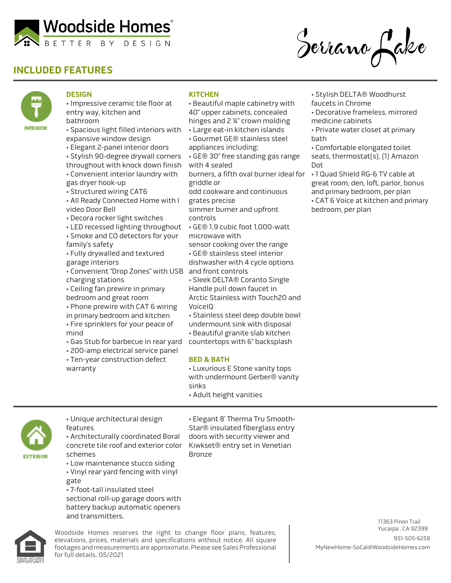

# **INCLUDED FEATURES**





#### **DESIGN**

- Impressive ceramic tile floor at entry way, kitchen and bathroom
- Spacious light filled interiors with expansive window design
- Elegant 2-panel interior doors
- Stylish 90-degree drywall corners throughout with knock down finish
- Convenient interior laundry with gas dryer hook-up
- Structured wiring CAT6
- All Ready Connected Home with l video Door Bell
- Decora rocker light switches
- LED recessed lighting throughout • Smoke and CO detectors for your
- family's safety
- Fully drywalled and textured garage interiors
- Convenient "Drop Zones" with USB and front controls charging stations
- Ceiling fan prewire in primary bedroom and great room
- Phone prewire with CAT 6 wiring
- in primary bedroom and kitchen • Fire sprinklers for your peace of
- mind
- Gas Stub for barbecue in rear yard
- 200-amp electrical service panel
- Ten-year construction defect
- warranty

### **KITCHEN**

- Beautiful maple cabinetry with 40" upper cabinets, concealed hinges and 2 ¼" crown molding
- Large eat-in kitchen islands
- Gourmet GE® stainless steel
- appliances including:
- GE® 30" free standing gas range with 4 sealed
- burners, a fifth oval burner ideal for griddle or
- odd cookware and continuous
- grates precise
- simmer burner and upfront controls
- GE® 1.9 cubic foot 1,000-watt microwave with
- sensor cooking over the range
- GE® stainless steel interior dishwasher with 4 cycle options
- 
- Sleek DELTA® Coranto Single
- Handle pull down faucet in
- Arctic Stainless with Touch20 and VoiceIQ
- Stainless steel deep double bowl
- undermount sink with disposal
- Beautiful granite slab kitchen
- countertops with 6" backsplash

#### **BED & BATH**

- Luxurious E Stone vanity tops with undermount Gerber® vanity sinks
- Adult height vanities



- Unique architectural design features
- Architecturally coordinated Boral concrete tile roof and exterior color schemes
- Low maintenance stucco siding • Vinyl rear yard fencing with vinyl
- gate
- 7-foot-tall insulated steel
- sectional roll-up garage doors with battery backup automatic openers and transmitters.

• Elegant 8' Therma Tru Smooth-Star® insulated fiberglass entry doors with security viewer and Kiwkset® entry set in Venetian Bronze

Woodside Homes reserves the right to change floor plans, features, elevations, prices, materials and specifications without notice. All square footages and measurements are approximate. Please see Sales Professional for full details. 05/2021

- Stylish DELTA® Woodhurst faucets in Chrome
- Decorative frameless, mirrored medicine cabinets
- Private water closet at primary bath
- Comfortable elongated toilet seats, thermostat(s), (1) Amazon Dot
- 1 Quad Shield RG-6 TV cable at great room, den, loft, parlor, bonus and primary bedroom, per plan • CAT 6 Voice at kitchen and primary bedroom, per plan